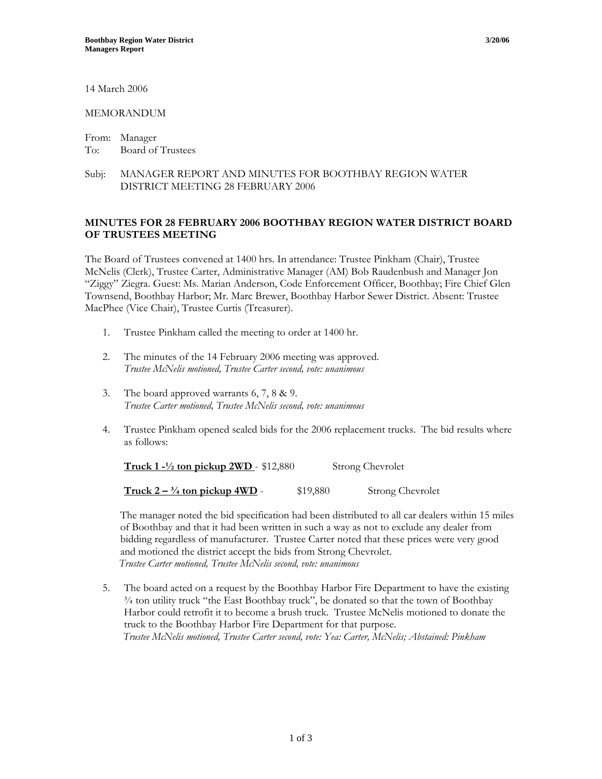14 March 2006

## MEMORANDUM

From: Manager To: Board of Trustees

## Subj: MANAGER REPORT AND MINUTES FOR BOOTHBAY REGION WATER DISTRICT MEETING 28 FEBRUARY 2006

## **MINUTES FOR 28 FEBRUARY 2006 BOOTHBAY REGION WATER DISTRICT BOARD OF TRUSTEES MEETING**

The Board of Trustees convened at 1400 hrs. In attendance: Trustee Pinkham (Chair), Trustee McNelis (Clerk), Trustee Carter, Administrative Manager (AM) Bob Raudenbush and Manager Jon "Ziggy" Ziegra. Guest: Ms. Marian Anderson, Code Enforcement Officer, Boothbay; Fire Chief Glen Townsend, Boothbay Harbor; Mr. Marc Brewer, Boothbay Harbor Sewer District. Absent: Trustee MacPhee (Vice Chair), Trustee Curtis (Treasurer).

- 1. Trustee Pinkham called the meeting to order at 1400 hr.
- 2. The minutes of the 14 February 2006 meeting was approved. *Trustee McNelis motioned, Trustee Carter second, vote: unanimous*
- 3. The board approved warrants 6, 7, 8 & 9. *Trustee Carter motioned, Trustee McNelis second, vote: unanimous*
- 4. Trustee Pinkham opened sealed bids for the 2006 replacement trucks. The bid results where as follows:

**Truck 1 -**  $\frac{1}{2}$  ton pickup 2WD - \$12,880 Strong Chevrolet

**Truck 2 – <sup>3</sup>/4 ton pickup 4WD** - \$19,880 Strong Chevrolet

The manager noted the bid specification had been distributed to all car dealers within 15 miles of Boothbay and that it had been written in such a way as not to exclude any dealer from bidding regardless of manufacturer. Trustee Carter noted that these prices were very good and motioned the district accept the bids from Strong Chevrolet.  *Trustee Carter motioned, Trustee McNelis second, vote: unanimous*

5. The board acted on a request by the Boothbay Harbor Fire Department to have the existing ¾ ton utility truck "the East Boothbay truck", be donated so that the town of Boothbay Harbor could retrofit it to become a brush truck. Trustee McNelis motioned to donate the truck to the Boothbay Harbor Fire Department for that purpose. *Trustee McNelis motioned, Trustee Carter second, vote: Yea: Carter, McNelis; Abstained: Pinkham*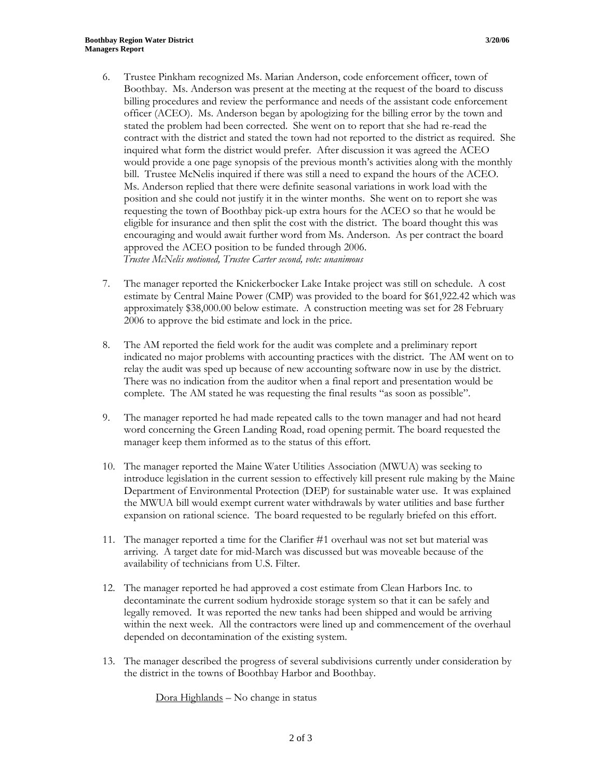- 6. Trustee Pinkham recognized Ms. Marian Anderson, code enforcement officer, town of Boothbay. Ms. Anderson was present at the meeting at the request of the board to discuss billing procedures and review the performance and needs of the assistant code enforcement officer (ACEO). Ms. Anderson began by apologizing for the billing error by the town and stated the problem had been corrected. She went on to report that she had re-read the contract with the district and stated the town had not reported to the district as required. She inquired what form the district would prefer. After discussion it was agreed the ACEO would provide a one page synopsis of the previous month's activities along with the monthly bill. Trustee McNelis inquired if there was still a need to expand the hours of the ACEO. Ms. Anderson replied that there were definite seasonal variations in work load with the position and she could not justify it in the winter months. She went on to report she was requesting the town of Boothbay pick-up extra hours for the ACEO so that he would be eligible for insurance and then split the cost with the district. The board thought this was encouraging and would await further word from Ms. Anderson. As per contract the board approved the ACEO position to be funded through 2006. *Trustee McNelis motioned, Trustee Carter second, vote: unanimous*
- 7. The manager reported the Knickerbocker Lake Intake project was still on schedule. A cost estimate by Central Maine Power (CMP) was provided to the board for \$61,922.42 which was approximately \$38,000.00 below estimate. A construction meeting was set for 28 February 2006 to approve the bid estimate and lock in the price.
- 8. The AM reported the field work for the audit was complete and a preliminary report indicated no major problems with accounting practices with the district. The AM went on to relay the audit was sped up because of new accounting software now in use by the district. There was no indication from the auditor when a final report and presentation would be complete. The AM stated he was requesting the final results "as soon as possible".
- 9. The manager reported he had made repeated calls to the town manager and had not heard word concerning the Green Landing Road, road opening permit. The board requested the manager keep them informed as to the status of this effort.
- 10. The manager reported the Maine Water Utilities Association (MWUA) was seeking to introduce legislation in the current session to effectively kill present rule making by the Maine Department of Environmental Protection (DEP) for sustainable water use. It was explained the MWUA bill would exempt current water withdrawals by water utilities and base further expansion on rational science. The board requested to be regularly briefed on this effort.
- 11. The manager reported a time for the Clarifier #1 overhaul was not set but material was arriving. A target date for mid-March was discussed but was moveable because of the availability of technicians from U.S. Filter.
- 12. The manager reported he had approved a cost estimate from Clean Harbors Inc. to decontaminate the current sodium hydroxide storage system so that it can be safely and legally removed. It was reported the new tanks had been shipped and would be arriving within the next week. All the contractors were lined up and commencement of the overhaul depended on decontamination of the existing system.
- 13. The manager described the progress of several subdivisions currently under consideration by the district in the towns of Boothbay Harbor and Boothbay.

Dora Highlands – No change in status